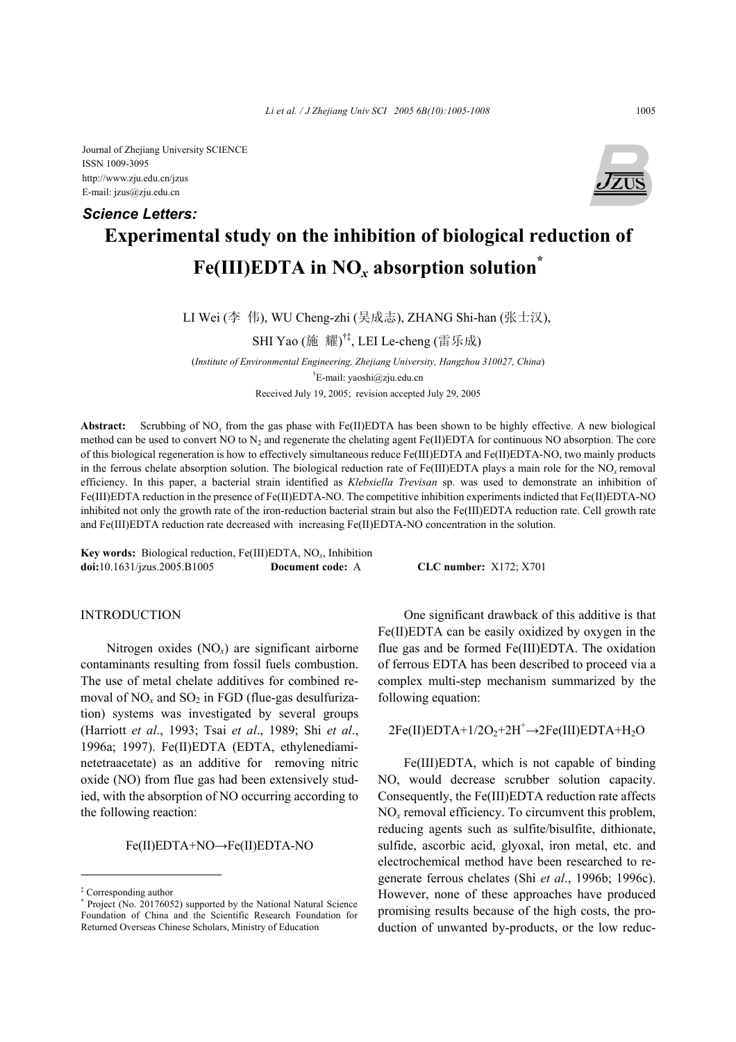Journal of Zhejiang University SCIENCE ISSN 1009-3095 http://www.zju.edu.cn/jzus E-mail: jzus@zju.edu.cn

# **Experimental study on the inhibition of biological reduction of Fe(III)EDTA in NO***x* **absorption solution\*** *Science Letters:*

LI Wei (李 伟), WU Cheng-zhi (吴成志), ZHANG Shi-han (张士汉),

SHI Yao (施 耀) †‡, LEI Le-cheng (雷乐成)

(*Institute of Environmental Engineering, Zhejiang University, Hangzhou 310027, China*) † E-mail: yaoshi@zju.edu.cn Received July 19, 2005; revision accepted July 29, 2005

**Abstract:** Scrubbing of NO*x* from the gas phase with Fe(II)EDTA has been shown to be highly effective. A new biological method can be used to convert NO to  $N_2$  and regenerate the chelating agent Fe(II)EDTA for continuous NO absorption. The core of this biological regeneration is how to effectively simultaneous reduce Fe(III)EDTA and Fe(II)EDTA-NO, two mainly products in the ferrous chelate absorption solution. The biological reduction rate of Fe(III)EDTA plays a main role for the NO*<sup>x</sup>* removal efficiency. In this paper, a bacterial strain identified as *Klebsiella Trevisan* sp. was used to demonstrate an inhibition of Fe(III)EDTA reduction in the presence of Fe(II)EDTA-NO. The competitive inhibition experiments indicted that Fe(II)EDTA-NO inhibited not only the growth rate of the iron-reduction bacterial strain but also the Fe(III)EDTA reduction rate. Cell growth rate and Fe(III)EDTA reduction rate decreased with increasing Fe(II)EDTA-NO concentration in the solution.

**Key words:** Biological reduction, Fe(III)EDTA, NO*x*, Inhibition **doi:**10.1631/jzus.2005.B1005 **Document code:** A **CLC number:** X172; X701

## INTRODUCTION

Nitrogen oxides  $(NO<sub>x</sub>)$  are significant airborne contaminants resulting from fossil fuels combustion. The use of metal chelate additives for combined removal of  $NO<sub>x</sub>$  and  $SO<sub>2</sub>$  in FGD (flue-gas desulfurization) systems was investigated by several groups (Harriott *et al*., 1993; Tsai *et al*., 1989; Shi *et al*., 1996a; 1997). Fe(II)EDTA (EDTA, ethylenediaminetetraacetate) as an additive for removing nitric oxide (NO) from flue gas had been extensively studied, with the absorption of NO occurring according to the following reaction:

Fe(II)EDTA+NO→Fe(II)EDTA-NO

One significant drawback of this additive is that Fe(II)EDTA can be easily oxidized by oxygen in the flue gas and be formed Fe(III)EDTA. The oxidation of ferrous EDTA has been described to proceed via a complex multi-step mechanism summarized by the following equation:

# $2Fe(II)EDTA+1/2O_2+2H^+ \rightarrow 2Fe(III)EDTA+H_2O$

Fe(III)EDTA, which is not capable of binding NO, would decrease scrubber solution capacity. Consequently, the Fe(III)EDTA reduction rate affects NO*x* removal efficiency. To circumvent this problem, reducing agents such as sulfite/bisulfite, dithionate, sulfide, ascorbic acid, glyoxal, iron metal, etc. and electrochemical method have been researched to regenerate ferrous chelates (Shi *et al*., 1996b; 1996c). However, none of these approaches have produced promising results because of the high costs, the production of unwanted by-products, or the low reduc-



<sup>&</sup>lt;sup>‡</sup> Corresponding author<br><sup>\*</sup> Project (No. 2017605)

Project (No. 20176052) supported by the National Natural Science Foundation of China and the Scientific Research Foundation for Returned Overseas Chinese Scholars, Ministry of Education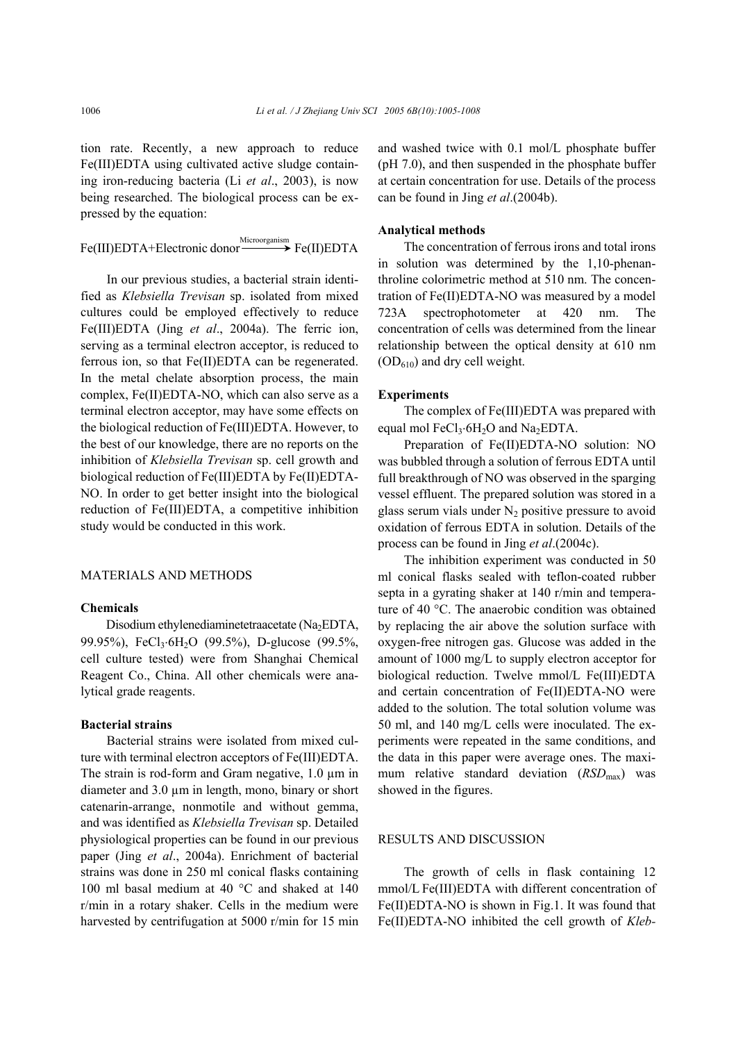tion rate. Recently, a new approach to reduce Fe(III)EDTA using cultivated active sludge containing iron-reducing bacteria (Li *et al*., 2003), is now being researched. The biological process can be expressed by the equation:

Fe(III)EDTA+Electronic donor Hicroorganism Fe(II)EDTA

In our previous studies, a bacterial strain identified as *Klebsiella Trevisan* sp. isolated from mixed cultures could be employed effectively to reduce Fe(III)EDTA (Jing *et al*., 2004a). The ferric ion, serving as a terminal electron acceptor, is reduced to ferrous ion, so that Fe(II)EDTA can be regenerated. In the metal chelate absorption process, the main complex, Fe(II)EDTA-NO, which can also serve as a terminal electron acceptor, may have some effects on the biological reduction of Fe(III)EDTA. However, to the best of our knowledge, there are no reports on the inhibition of *Klebsiella Trevisan* sp. cell growth and biological reduction of Fe(III)EDTA by Fe(II)EDTA-NO. In order to get better insight into the biological reduction of Fe(III)EDTA, a competitive inhibition study would be conducted in this work.

## MATERIALS AND METHODS

#### **Chemicals**

Disodium ethylenediaminetetraacetate (Na<sub>2</sub>EDTA, 99.95%), FeCl<sub>3</sub>⋅6H<sub>2</sub>O (99.5%), D-glucose (99.5%, cell culture tested) were from Shanghai Chemical Reagent Co., China. All other chemicals were analytical grade reagents.

### **Bacterial strains**

Bacterial strains were isolated from mixed culture with terminal electron acceptors of Fe(III)EDTA. The strain is rod-form and Gram negative, 1.0  $\mu$ m in diameter and 3.0  $\mu$ m in length, mono, binary or short catenarin-arrange, nonmotile and without gemma, and was identified as *Klebsiella Trevisan* sp. Detailed physiological properties can be found in our previous paper (Jing *et al*., 2004a). Enrichment of bacterial strains was done in 250 ml conical flasks containing 100 ml basal medium at 40 °C and shaked at 140 r/min in a rotary shaker. Cells in the medium were harvested by centrifugation at 5000 r/min for 15 min and washed twice with 0.1 mol/L phosphate buffer (pH 7.0), and then suspended in the phosphate buffer at certain concentration for use. Details of the process can be found in Jing *et al*.(2004b).

#### **Analytical methods**

The concentration of ferrous irons and total irons in solution was determined by the 1,10-phenanthroline colorimetric method at 510 nm. The concentration of Fe(II)EDTA-NO was measured by a model 723A spectrophotometer at 420 nm. The concentration of cells was determined from the linear relationship between the optical density at 610 nm  $(OD<sub>610</sub>)$  and dry cell weight.

#### **Experiments**

The complex of Fe(III)EDTA was prepared with equal mol FeCl<sub>3</sub>⋅6H<sub>2</sub>O and Na<sub>2</sub>EDTA.

Preparation of Fe(II)EDTA-NO solution: NO was bubbled through a solution of ferrous EDTA until full breakthrough of NO was observed in the sparging vessel effluent. The prepared solution was stored in a glass serum vials under  $N_2$  positive pressure to avoid oxidation of ferrous EDTA in solution. Details of the process can be found in Jing *et al*.(2004c).

The inhibition experiment was conducted in 50 ml conical flasks sealed with teflon-coated rubber septa in a gyrating shaker at 140 r/min and temperature of 40 °C. The anaerobic condition was obtained by replacing the air above the solution surface with oxygen-free nitrogen gas. Glucose was added in the amount of 1000 mg/L to supply electron acceptor for biological reduction. Twelve mmol/L Fe(III)EDTA and certain concentration of Fe(II)EDTA-NO were added to the solution. The total solution volume was 50 ml, and 140 mg/L cells were inoculated. The experiments were repeated in the same conditions, and the data in this paper were average ones. The maximum relative standard deviation (*RSD*<sub>max</sub>) was showed in the figures.

## RESULTS AND DISCUSSION

The growth of cells in flask containing 12 mmol/L Fe(III)EDTA with different concentration of Fe(II)EDTA-NO is shown in Fig.1. It was found that Fe(II)EDTA-NO inhibited the cell growth of *Kleb-*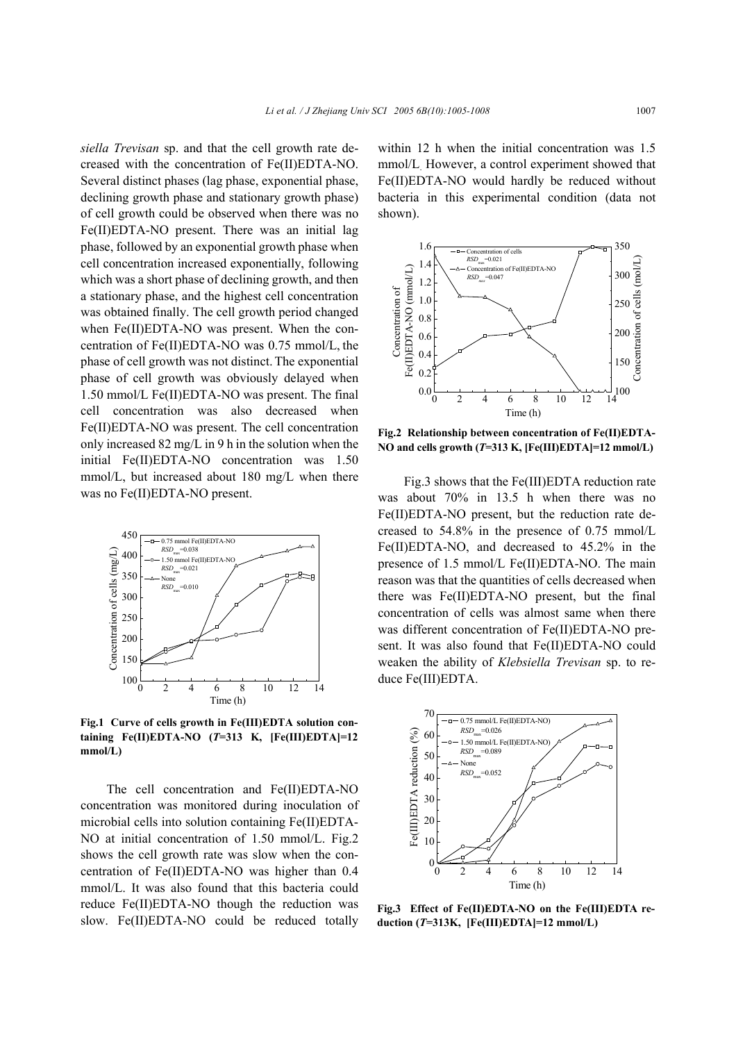*siella Trevisan* sp. and that the cell growth rate decreased with the concentration of Fe(II)EDTA-NO. Several distinct phases (lag phase, exponential phase, declining growth phase and stationary growth phase) of cell growth could be observed when there was no Fe(II)EDTA-NO present. There was an initial lag phase, followed by an exponential growth phase when cell concentration increased exponentially, following which was a short phase of declining growth, and then a stationary phase, and the highest cell concentration was obtained finally. The cell growth period changed when Fe(II)EDTA-NO was present. When the concentration of Fe(II)EDTA-NO was 0.75 mmol/L, the phase of cell growth was not distinct. The exponential phase of cell growth was obviously delayed when 1.50 mmol/L Fe(II)EDTA-NO was present. The final cell concentration was also decreased when Fe(II)EDTA-NO was present. The cell concentration only increased 82 mg/L in 9 h in the solution when the initial Fe(II)EDTA-NO concentration was 1.50 mmol/L, but increased about 180 mg/L when there was no Fe(II)EDTA-NO present.



**Fig.1 Curve of cells growth in Fe(III)EDTA solution containing Fe(II)EDTA-NO (***T***=313 K, [Fe(III)EDTA]=12 mmol/L)** 

The cell concentration and Fe(II)EDTA-NO concentration was monitored during inoculation of microbial cells into solution containing Fe(II)EDTA-NO at initial concentration of 1.50 mmol/L. Fig.2 shows the cell growth rate was slow when the concentration of Fe(II)EDTA-NO was higher than 0.4 mmol/L. It was also found that this bacteria could reduce Fe(II)EDTA-NO though the reduction was slow. Fe(II)EDTA-NO could be reduced totally

within 12 h when the initial concentration was 1.5 mmol/L. However, a control experiment showed that Fe(II)EDTA-NO would hardly be reduced without bacteria in this experimental condition (data not shown).



**Fig.2 Relationship between concentration of Fe(II)EDTA-NO and cells growth (***T***=313 K, [Fe(III)EDTA]=12 mmol/L)**

Fig.3 shows that the Fe(III)EDTA reduction rate was about 70% in 13.5 h when there was no Fe(II)EDTA-NO present, but the reduction rate decreased to 54.8% in the presence of 0.75 mmol/L Fe(II)EDTA-NO, and decreased to 45.2% in the presence of 1.5 mmol/L Fe(II)EDTA-NO. The main reason was that the quantities of cells decreased when there was Fe(II)EDTA-NO present, but the final concentration of cells was almost same when there was different concentration of Fe(II)EDTA-NO present. It was also found that Fe(II)EDTA-NO could weaken the ability of *Klebsiella Trevisan* sp. to re-



**Fig.3 Effect of Fe(II)EDTA-NO on the Fe(III)EDTA reduction (***T***=313K, [Fe(III)EDTA]=12 mmol/L)**